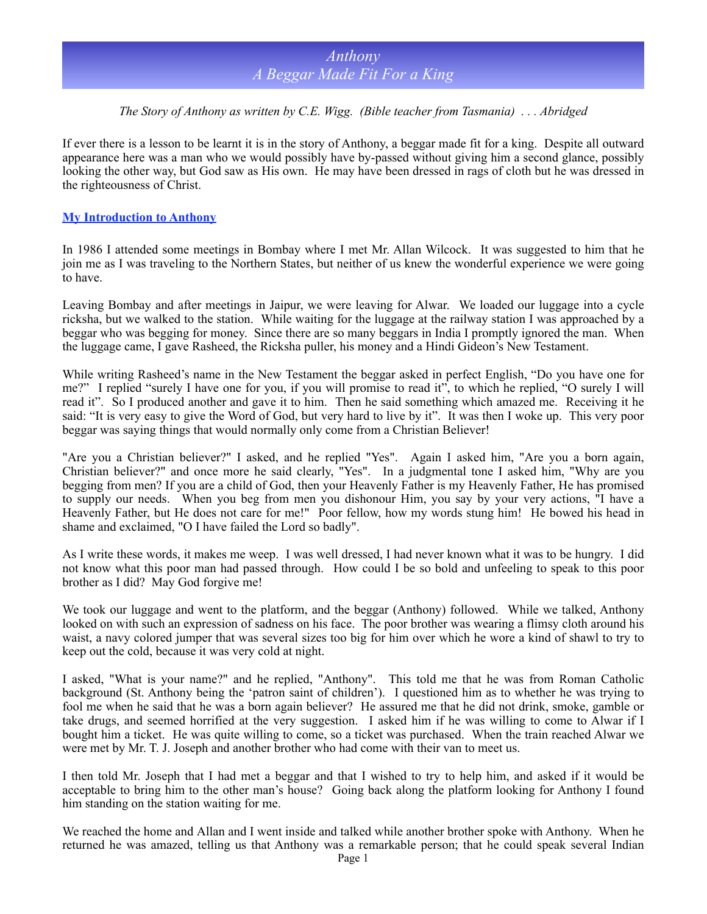### *The Story of Anthony as written by C.E. Wigg. (Bible teacher from Tasmania) . . . Abridged*

If ever there is a lesson to be learnt it is in the story of Anthony, a beggar made fit for a king. Despite all outward appearance here was a man who we would possibly have by-passed without giving him a second glance, possibly looking the other way, but God saw as His own. He may have been dressed in rags of cloth but he was dressed in the righteousness of Christ.

### **My Introduction to Anthony**

In 1986 I attended some meetings in Bombay where I met Mr. Allan Wilcock. It was suggested to him that he join me as I was traveling to the Northern States, but neither of us knew the wonderful experience we were going to have.

Leaving Bombay and after meetings in Jaipur, we were leaving for Alwar. We loaded our luggage into a cycle ricksha, but we walked to the station. While waiting for the luggage at the railway station I was approached by a beggar who was begging for money. Since there are so many beggars in India I promptly ignored the man. When the luggage came, I gave Rasheed, the Ricksha puller, his money and a Hindi Gideon's New Testament.

While writing Rasheed's name in the New Testament the beggar asked in perfect English, "Do you have one for me?" I replied "surely I have one for you, if you will promise to read it", to which he replied, "O surely I will read it". So I produced another and gave it to him. Then he said something which amazed me. Receiving it he said: "It is very easy to give the Word of God, but very hard to live by it". It was then I woke up. This very poor beggar was saying things that would normally only come from a Christian Believer!

"Are you a Christian believer?" I asked, and he replied "Yes". Again I asked him, "Are you a born again, Christian believer?" and once more he said clearly, "Yes". In a judgmental tone I asked him, "Why are you begging from men? If you are a child of God, then your Heavenly Father is my Heavenly Father, He has promised to supply our needs. When you beg from men you dishonour Him, you say by your very actions, "I have a Heavenly Father, but He does not care for me!" Poor fellow, how my words stung him! He bowed his head in shame and exclaimed, "O I have failed the Lord so badly".

As I write these words, it makes me weep. I was well dressed, I had never known what it was to be hungry. I did not know what this poor man had passed through. How could I be so bold and unfeeling to speak to this poor brother as I did? May God forgive me!

We took our luggage and went to the platform, and the beggar (Anthony) followed. While we talked, Anthony looked on with such an expression of sadness on his face. The poor brother was wearing a flimsy cloth around his waist, a navy colored jumper that was several sizes too big for him over which he wore a kind of shawl to try to keep out the cold, because it was very cold at night.

I asked, "What is your name?" and he replied, "Anthony". This told me that he was from Roman Catholic background (St. Anthony being the 'patron saint of children'). I questioned him as to whether he was trying to fool me when he said that he was a born again believer? He assured me that he did not drink, smoke, gamble or take drugs, and seemed horrified at the very suggestion. I asked him if he was willing to come to Alwar if I bought him a ticket. He was quite willing to come, so a ticket was purchased. When the train reached Alwar we were met by Mr. T. J. Joseph and another brother who had come with their van to meet us.

I then told Mr. Joseph that I had met a beggar and that I wished to try to help him, and asked if it would be acceptable to bring him to the other man's house? Going back along the platform looking for Anthony I found him standing on the station waiting for me.

We reached the home and Allan and I went inside and talked while another brother spoke with Anthony. When he returned he was amazed, telling us that Anthony was a remarkable person; that he could speak several Indian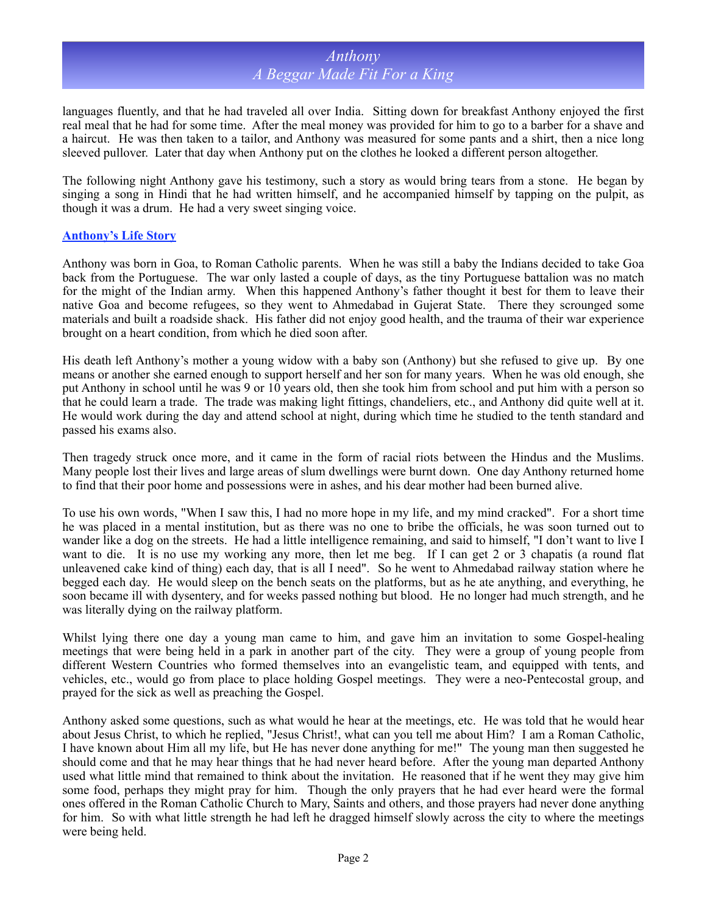languages fluently, and that he had traveled all over India. Sitting down for breakfast Anthony enjoyed the first real meal that he had for some time. After the meal money was provided for him to go to a barber for a shave and a haircut. He was then taken to a tailor, and Anthony was measured for some pants and a shirt, then a nice long sleeved pullover. Later that day when Anthony put on the clothes he looked a different person altogether.

The following night Anthony gave his testimony, such a story as would bring tears from a stone. He began by singing a song in Hindi that he had written himself, and he accompanied himself by tapping on the pulpit, as though it was a drum. He had a very sweet singing voice.

### **Anthony's Life Story**

Anthony was born in Goa, to Roman Catholic parents. When he was still a baby the Indians decided to take Goa back from the Portuguese. The war only lasted a couple of days, as the tiny Portuguese battalion was no match for the might of the Indian army. When this happened Anthony's father thought it best for them to leave their native Goa and become refugees, so they went to Ahmedabad in Gujerat State. There they scrounged some materials and built a roadside shack. His father did not enjoy good health, and the trauma of their war experience brought on a heart condition, from which he died soon after.

His death left Anthony's mother a young widow with a baby son (Anthony) but she refused to give up. By one means or another she earned enough to support herself and her son for many years. When he was old enough, she put Anthony in school until he was 9 or 10 years old, then she took him from school and put him with a person so that he could learn a trade. The trade was making light fittings, chandeliers, etc., and Anthony did quite well at it. He would work during the day and attend school at night, during which time he studied to the tenth standard and passed his exams also.

Then tragedy struck once more, and it came in the form of racial riots between the Hindus and the Muslims. Many people lost their lives and large areas of slum dwellings were burnt down. One day Anthony returned home to find that their poor home and possessions were in ashes, and his dear mother had been burned alive.

To use his own words, "When I saw this, I had no more hope in my life, and my mind cracked". For a short time he was placed in a mental institution, but as there was no one to bribe the officials, he was soon turned out to wander like a dog on the streets. He had a little intelligence remaining, and said to himself, "I don't want to live I want to die. It is no use my working any more, then let me beg. If I can get 2 or 3 chapatis (a round flat unleavened cake kind of thing) each day, that is all I need". So he went to Ahmedabad railway station where he begged each day. He would sleep on the bench seats on the platforms, but as he ate anything, and everything, he soon became ill with dysentery, and for weeks passed nothing but blood. He no longer had much strength, and he was literally dying on the railway platform.

Whilst lying there one day a young man came to him, and gave him an invitation to some Gospel-healing meetings that were being held in a park in another part of the city. They were a group of young people from different Western Countries who formed themselves into an evangelistic team, and equipped with tents, and vehicles, etc., would go from place to place holding Gospel meetings. They were a neo-Pentecostal group, and prayed for the sick as well as preaching the Gospel.

Anthony asked some questions, such as what would he hear at the meetings, etc. He was told that he would hear about Jesus Christ, to which he replied, "Jesus Christ!, what can you tell me about Him? I am a Roman Catholic, I have known about Him all my life, but He has never done anything for me!" The young man then suggested he should come and that he may hear things that he had never heard before. After the young man departed Anthony used what little mind that remained to think about the invitation. He reasoned that if he went they may give him some food, perhaps they might pray for him. Though the only prayers that he had ever heard were the formal ones offered in the Roman Catholic Church to Mary, Saints and others, and those prayers had never done anything for him. So with what little strength he had left he dragged himself slowly across the city to where the meetings were being held.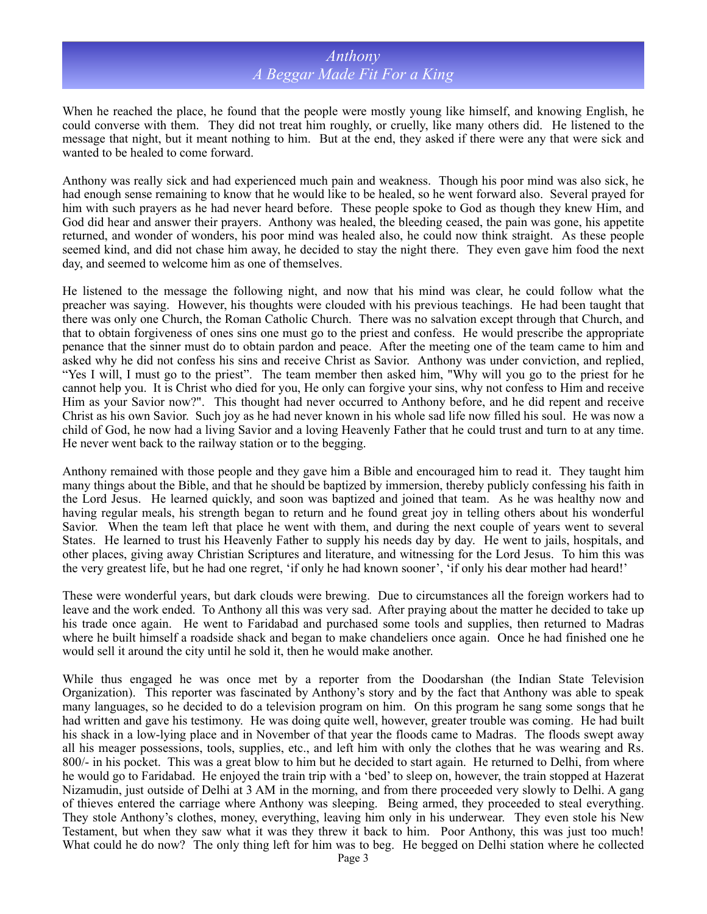When he reached the place, he found that the people were mostly young like himself, and knowing English, he could converse with them. They did not treat him roughly, or cruelly, like many others did. He listened to the message that night, but it meant nothing to him. But at the end, they asked if there were any that were sick and wanted to be healed to come forward.

Anthony was really sick and had experienced much pain and weakness. Though his poor mind was also sick, he had enough sense remaining to know that he would like to be healed, so he went forward also. Several prayed for him with such prayers as he had never heard before. These people spoke to God as though they knew Him, and God did hear and answer their prayers. Anthony was healed, the bleeding ceased, the pain was gone, his appetite returned, and wonder of wonders, his poor mind was healed also, he could now think straight. As these people seemed kind, and did not chase him away, he decided to stay the night there. They even gave him food the next day, and seemed to welcome him as one of themselves.

He listened to the message the following night, and now that his mind was clear, he could follow what the preacher was saying. However, his thoughts were clouded with his previous teachings. He had been taught that there was only one Church, the Roman Catholic Church. There was no salvation except through that Church, and that to obtain forgiveness of ones sins one must go to the priest and confess. He would prescribe the appropriate penance that the sinner must do to obtain pardon and peace. After the meeting one of the team came to him and asked why he did not confess his sins and receive Christ as Savior. Anthony was under conviction, and replied, "Yes I will, I must go to the priest". The team member then asked him, "Why will you go to the priest for he cannot help you. It is Christ who died for you, He only can forgive your sins, why not confess to Him and receive Him as your Savior now?". This thought had never occurred to Anthony before, and he did repent and receive Christ as his own Savior. Such joy as he had never known in his whole sad life now filled his soul. He was now a child of God, he now had a living Savior and a loving Heavenly Father that he could trust and turn to at any time. He never went back to the railway station or to the begging.

Anthony remained with those people and they gave him a Bible and encouraged him to read it. They taught him many things about the Bible, and that he should be baptized by immersion, thereby publicly confessing his faith in the Lord Jesus. He learned quickly, and soon was baptized and joined that team. As he was healthy now and having regular meals, his strength began to return and he found great joy in telling others about his wonderful Savior. When the team left that place he went with them, and during the next couple of years went to several States. He learned to trust his Heavenly Father to supply his needs day by day. He went to jails, hospitals, and other places, giving away Christian Scriptures and literature, and witnessing for the Lord Jesus. To him this was the very greatest life, but he had one regret, 'if only he had known sooner', 'if only his dear mother had heard!'

These were wonderful years, but dark clouds were brewing. Due to circumstances all the foreign workers had to leave and the work ended. To Anthony all this was very sad. After praying about the matter he decided to take up his trade once again. He went to Faridabad and purchased some tools and supplies, then returned to Madras where he built himself a roadside shack and began to make chandeliers once again. Once he had finished one he would sell it around the city until he sold it, then he would make another.

While thus engaged he was once met by a reporter from the Doodarshan (the Indian State Television Organization). This reporter was fascinated by Anthony's story and by the fact that Anthony was able to speak many languages, so he decided to do a television program on him. On this program he sang some songs that he had written and gave his testimony. He was doing quite well, however, greater trouble was coming. He had built his shack in a low-lying place and in November of that year the floods came to Madras. The floods swept away all his meager possessions, tools, supplies, etc., and left him with only the clothes that he was wearing and Rs. 800/- in his pocket. This was a great blow to him but he decided to start again. He returned to Delhi, from where he would go to Faridabad. He enjoyed the train trip with a 'bed' to sleep on, however, the train stopped at Hazerat Nizamudin, just outside of Delhi at 3 AM in the morning, and from there proceeded very slowly to Delhi. A gang of thieves entered the carriage where Anthony was sleeping. Being armed, they proceeded to steal everything. They stole Anthony's clothes, money, everything, leaving him only in his underwear. They even stole his New Testament, but when they saw what it was they threw it back to him. Poor Anthony, this was just too much! What could he do now? The only thing left for him was to beg. He begged on Delhi station where he collected